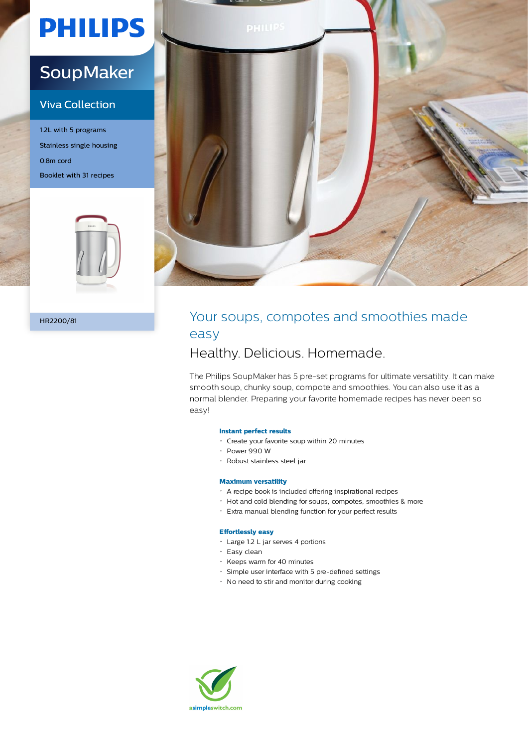# **PHILIPS**

## **SoupMaker**

### Viva Collection

1.2L with 5 programs Stainless single housing 0.8m cord Booklet with 31 recipes





### HR2200/81 **HR2200/81** Your soups, compotes and smoothies made easy

### Healthy. Delicious. Homemade.

The Philips SoupMaker has 5 pre-set programs for ultimate versatility. It can make smooth soup, chunky soup, compote and smoothies. You can also use it as a normal blender. Preparing your favorite homemade recipes has never been so easy!

#### **Instant perfect results**

- Create your favorite soup within 20 minutes
- Power 990 W
- Robust stainless steel jar

#### **Maximum versatility**

- A recipe book is included offering inspirational recipes
- Hot and cold blending for soups, compotes, smoothies & more
- Extra manual blending function for your perfect results

#### **Effortlessly easy**

- Large 1.2 L jar serves 4 portions
- Easy clean
- \* Keeps warm for 40 minutes
- Simple user interface with 5 pre-defined settings
- No need to stir and monitor during cooking

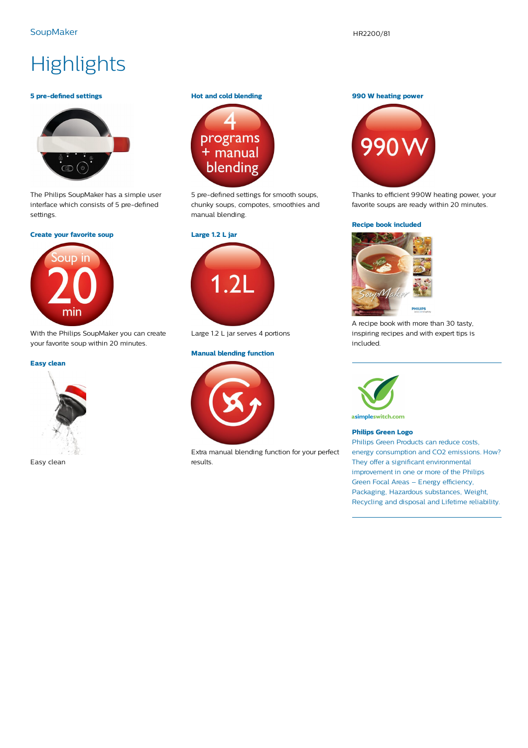## **Highlights**

#### **5 pre-defined settings**



The Philips SoupMaker has a simple user interface which consists of 5 pre-defined settings.

#### **Create your favorite soup**



With the Philips SoupMaker you can create your favorite soup within 20 minutes.

#### **Easy clean**



Easy clean

#### **Hot and cold blending**



5 pre-defined settings for smooth soups, chunky soups, compotes, smoothies and manual blending.



Large 1.2 L jar serves 4 portions

#### **Manual blending function**



Extra manual blending function for your perfect results.

#### **990 W heating power**



Thanks to efficient 990W heating power, your favorite soups are ready within 20 minutes.

#### **Recipe book included**



A recipe book with more than 30 tasty, inspiring recipes and with expert tips is included.



asimpleswitch.com

#### **Philips Green Logo**

Philips Green Products can reduce costs, energy consumption and CO2 emissions. How? They offer a significant environmental improvement in one or more of the Philips Green Focal Areas – Energy efficiency, Packaging, Hazardous substances, Weight, Recycling and disposal and Lifetime reliability.